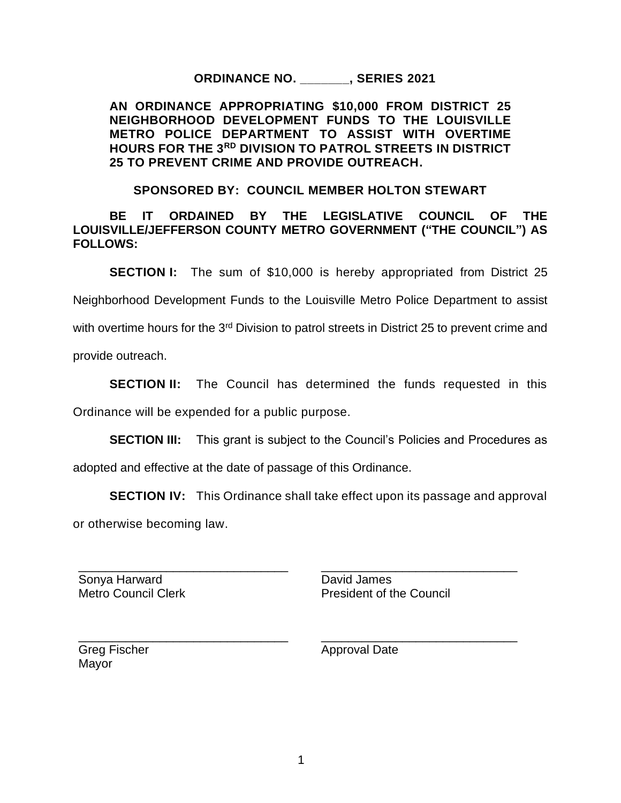## **ORDINANCE NO. \_\_\_\_\_\_\_, SERIES 2021**

**AN ORDINANCE APPROPRIATING \$10,000 FROM DISTRICT 25 NEIGHBORHOOD DEVELOPMENT FUNDS TO THE LOUISVILLE METRO POLICE DEPARTMENT TO ASSIST WITH OVERTIME HOURS FOR THE 3RD DIVISION TO PATROL STREETS IN DISTRICT 25 TO PREVENT CRIME AND PROVIDE OUTREACH.** 

## **SPONSORED BY: COUNCIL MEMBER HOLTON STEWART**

**BE IT ORDAINED BY THE LEGISLATIVE COUNCIL OF THE LOUISVILLE/JEFFERSON COUNTY METRO GOVERNMENT ("THE COUNCIL") AS FOLLOWS:**

**SECTION I:** The sum of \$10,000 is hereby appropriated from District 25

Neighborhood Development Funds to the Louisville Metro Police Department to assist

with overtime hours for the 3<sup>rd</sup> Division to patrol streets in District 25 to prevent crime and

provide outreach.

**SECTION II:** The Council has determined the funds requested in this Ordinance will be expended for a public purpose.

**SECTION III:** This grant is subject to the Council's Policies and Procedures as

adopted and effective at the date of passage of this Ordinance.

**SECTION IV:** This Ordinance shall take effect upon its passage and approval or otherwise becoming law.

Sonya Harward Metro Council Clerk

\_\_\_\_\_\_\_\_\_\_\_\_\_\_\_\_\_\_\_\_\_\_\_\_\_\_\_\_\_\_\_

\_\_\_\_\_\_\_\_\_\_\_\_\_\_\_\_\_\_\_\_\_\_\_\_\_\_\_\_\_\_\_

David James President of the Council

\_\_\_\_\_\_\_\_\_\_\_\_\_\_\_\_\_\_\_\_\_\_\_\_\_\_\_\_\_

\_\_\_\_\_\_\_\_\_\_\_\_\_\_\_\_\_\_\_\_\_\_\_\_\_\_\_\_\_

Greg Fischer Mayor

Approval Date